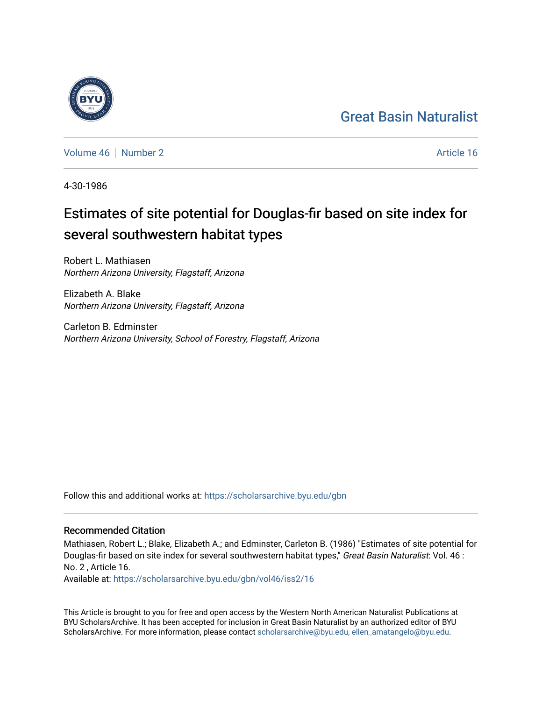## [Great Basin Naturalist](https://scholarsarchive.byu.edu/gbn)

[Volume 46](https://scholarsarchive.byu.edu/gbn/vol46) [Number 2](https://scholarsarchive.byu.edu/gbn/vol46/iss2) Article 16

4-30-1986

# Estimates of site potential for Douglas-fir based on site index for several southwestern habitat types

Robert L. Mathiasen Northern Arizona University, Flagstaff, Arizona

Elizabeth A. Blake Northern Arizona University, Flagstaff, Arizona

Carleton B. Edminster Northern Arizona University, School of Forestry, Flagstaff, Arizona

Follow this and additional works at: [https://scholarsarchive.byu.edu/gbn](https://scholarsarchive.byu.edu/gbn?utm_source=scholarsarchive.byu.edu%2Fgbn%2Fvol46%2Fiss2%2F16&utm_medium=PDF&utm_campaign=PDFCoverPages) 

### Recommended Citation

Mathiasen, Robert L.; Blake, Elizabeth A.; and Edminster, Carleton B. (1986) "Estimates of site potential for Douglas-fir based on site index for several southwestern habitat types," Great Basin Naturalist: Vol. 46 : No. 2 , Article 16.

Available at: [https://scholarsarchive.byu.edu/gbn/vol46/iss2/16](https://scholarsarchive.byu.edu/gbn/vol46/iss2/16?utm_source=scholarsarchive.byu.edu%2Fgbn%2Fvol46%2Fiss2%2F16&utm_medium=PDF&utm_campaign=PDFCoverPages) 

This Article is brought to you for free and open access by the Western North American Naturalist Publications at BYU ScholarsArchive. It has been accepted for inclusion in Great Basin Naturalist by an authorized editor of BYU ScholarsArchive. For more information, please contact [scholarsarchive@byu.edu, ellen\\_amatangelo@byu.edu.](mailto:scholarsarchive@byu.edu,%20ellen_amatangelo@byu.edu)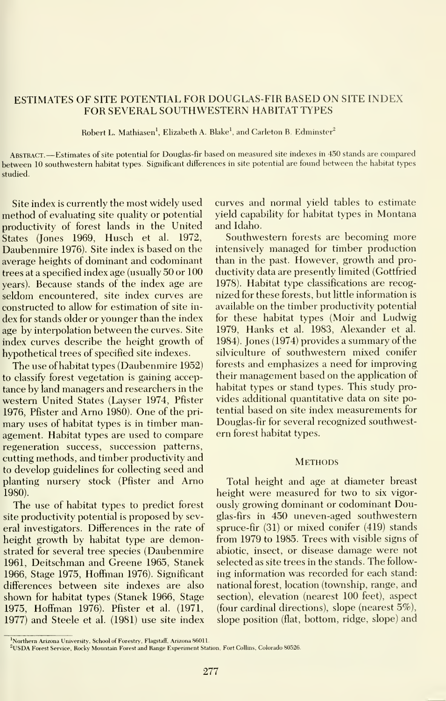#### ESTIMATES OF SITE POTENTIAL FOR DOUGLAS-FIR BASED ON SITE INDEX FOR SEVERAL SOUTHWESTERN HABITAT TYPES

Robert L. Mathiasen', Elizabeth A. Blake', and Carleton B. Edminster^

Abstract. —Estimates of site potential for Douglas-fir based on measured site indexes in <sup>450</sup> stands are compared between 10 southwestern habitat types. Significant differences in site potential are found between the habitat types studied.

Site index is currently the most widely used method of evaluating site quality or potential productivity of forest lands in the United States (Jones 1969, Husch et al. 1972, Daubenmire 1976). Site index is based on the average heights of dominant and codominant trees at a specified index age (usually 50 or 100 years). Because stands of the index age are seldom encountered, site index curves are constructed to allow for estimation of site in dex for stands older or younger than the index age by interpolation between the curves. Site index curves describe the height growth of hypothetical trees of specified site indexes.

The use ofhabitat types (Daubenmire 1952) to classify forest vegetation is gaining acceptance by land managers and researchers in the western United States (Layser 1974, Pfister 1976, Pfister and Arno 1980). One of the pri mary uses of habitat types is in timber management. Habitat types are used to compare regeneration success, succession patterns, cutting methods, and timber productivity and to develop guidelines for collecting seed and planting nursery stock (Pfister and Arno 1980).

The use of habitat types to predict forest site productivity potential is proposed by several investigators. Differences in the rate of height growth by habitat type are demonstrated for several tree species (Daubenmire 1961, Deitschman and Greene 1965, Stanek 1966, Stage 1975, Hoffman 1976). Significant differences between site indexes are also shown for habitat types (Stanek 1966, Stage 1975, Hoffman 1976). Pfister et al. (1971, 1977) and Steele et al. (1981) use site index

curves and normal yield tables to estimate yield capability for habitat types in Montana and Idaho.

Southwestern forests are becoming more intensively managed for timber production than in the past. However, growth and productivity data are presently limited (Gottfried 1978). Habitat type classifications are recog nized for these forests, but little information isavailable on the timber productivity potential for these habitat types (Moir and Ludwig 1979, Hanks et al. 1983, Alexander et al. 1984). Jones (1974) provides a summary of the silviculture of southwestern mixed conifer forests and emphasizes a need for improving their management based on the application of habitat types or stand types. This study pro vides additional quantitative data on site potential based on site index measurements for Douglas-fir for several recognized southwestern forest habitat types.

#### **METHODS**

Total height and age at diameter breast height were measured for two to six vigor ously growing dominant or codominant Douglas-firs in 450 uneven-aged southwestern spruce-fir (31) or mixed conifer (419) stands from 1979 to 1985. Trees with visible signs of abiotic, insect, or disease damage were not selected as site trees in the stands. The follow ing information was recorded for each stand: national forest, location (township, range, and section), elevation (nearest 100 feet), aspect (four cardinal directions), slope (nearest 5%), slope position (flat, bottom, ridge, slope) and

<sup>&</sup>lt;sup>1</sup>Northern Arizona University, School of Forestry, Flagstaff, Arizona 86011.

<sup>&</sup>lt;sup>2</sup>USDA Forest Service, Rocky Mountain Forest and Range Experiment Station, Fort Collins, Colorado 80526.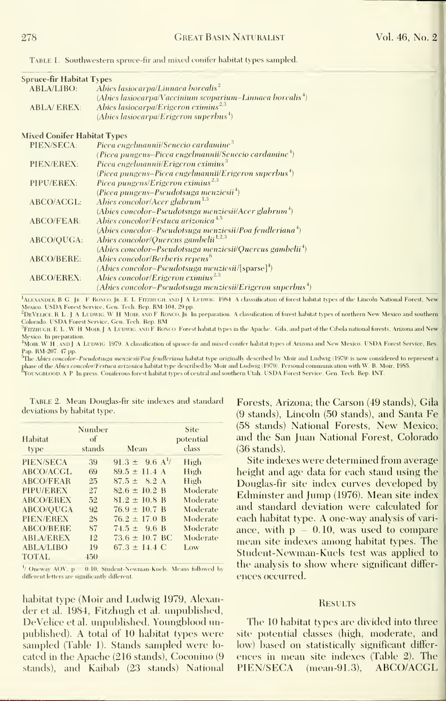Table 1. Southwestern spruce-fir and mixed conifer habitat types sampled.

| Spruce-fir Habitat Types           |                                                                          |
|------------------------------------|--------------------------------------------------------------------------|
| <b>ABLA/LIBO:</b>                  | Abies lasiocarpa/Linnaea borealis <sup>2</sup>                           |
|                                    | (Abies lasiocarpa/Vaccinium scoparium-Linnaea borealis <sup>4</sup> )    |
| <b>ABLA/EREX:</b>                  | Abies lasiocarpa/Erigeron eximius <sup>2,3</sup>                         |
|                                    | $(Ables\textit{lasiocarpa/Erigeron superbus}^4)$                         |
| <b>Mixed Conifer Habitat Types</b> |                                                                          |
| PIEN/SECA:                         | Picea engelmannii/Senecio cardamine <sup>3</sup>                         |
|                                    | (Picea pungens–Picea engelmannii/Senecio cardamine <sup>4</sup> )        |
| PIEN/EREX:                         | Picea engelmannii/Erigeron eximius <sup>3</sup>                          |
|                                    | (Picea pungens–Picea engelmannii/Erigeron superbus <sup>4</sup> )        |
| PIPU/EREX:                         | Picea pungens/Erigeron eximins <sup>2,3</sup>                            |
|                                    | $(Picea\ pungens-Pseudotsuga\ menziesii4)$                               |
| ABCO/ACGL:                         | Abies concolor/Acer glabrum <sup>1,3</sup>                               |
|                                    | $(Abies concolor-Pseudotsuga menziesii/Acer glabrum4)$                   |
| <b>ABCO/FEAR:</b>                  | Abies concolor/Festuca arizonica <sup>4.5</sup>                          |
|                                    | $(Abies concolor-Pseudotsuga menziesii/Poa fendleriana4)$                |
| ABCO/QUGA:                         | Abies concolor/Ouercus gambelii <sup>1,2,3</sup>                         |
|                                    | (Abies concolor-Pseudotsuga menziesii/Quercus gambelii <sup>4</sup> )    |
| ABCO/BERE:                         | Abies concolor/Berberis repens <sup>6</sup>                              |
|                                    | $(A \text{bies concolor-}$ Pseudotsuga menziesii/[sparse] <sup>4</sup> ) |
| <b>ABCO/EREX:</b>                  | Abies concolor/Erigeron eximius <sup>2.3</sup>                           |
|                                    | (Abies concolor–Pseudotsuga menziesii/Erigeron superbus <sup>4</sup> )   |

ALEXANDER, B G . JR . F RONCO. JR . E L FITZHUGH, AND J A LUDWIG 1984. A classsification of forest habitat types of the Lincoln National Forest, New Mexico. USDA Forest Service, Gen. Tech. Rep. RM-104, 29 pp. <sup>2</sup>DEVELICE. R L . J A LUDWIG. W H MOIR. AND F RONCO. JR In preparation. A classification of forest habitat types of northern New Mexico and southern

Colorado. USDA Forest Service, Gen. Tech. Rep. RM.

<sup>3</sup>FITZHUGH, E L , W H MOIR, J A LUDWIG, AND F RONCO Forest habitat types in the Apache, Gila, and part of the Cibola national forests, Arizona and New Mexico. In preparation.

\*MoiR, W H . AND <sup>J</sup> <sup>A</sup> Li'Dwic 1979. <sup>A</sup> classification of spruce-fir and nii.xed conifer habitat types of Arizona and New Mexico. USDA Forest Service, Res. Pap. RM-207. 47 pp.

<sup>5</sup>The Abies concolor-Pseudotsuga menziesii/Poa fendleriana habitat type originally described by Moir and Ludwig (1979) is now considered to represent a phase of the Abies concolor/Festuca arizonica habitat type described by Moir and Ludwig (1979). Personal communication with W. B. Moir, 1985.

TOUNCBLOOD. A P In press. Coniferous forest habitat types of central and southern Utah. USDA Forest Service, Gen. Tech. Rep. INT.

deviations by habitat type.

| Habitat<br>type  | Number<br>of<br>stands | Mean                            | Site<br>potential<br>class |
|------------------|------------------------|---------------------------------|----------------------------|
| PIEN/SECA        | 39                     | $91.3 \pm 9.6$ A <sup>1</sup> / | High                       |
| <b>ABCO/ACGL</b> | 69                     | $89.5 \pm 11.4$ A               | High                       |
| <b>ABCO/FEAR</b> | 25                     | $87.5 \pm 8.2$ A                | High                       |
| PIPU/EREX        | 27                     | $82.6 \pm 10.2$ B               | Moderate                   |
| <b>ABCO/EREX</b> | 52                     | $81.2 \pm 10.8$ B               | Moderate                   |
| ABCO/OUGA        | 92                     | $76.9 \pm 10.7$ B               | Moderate                   |
| PIEN/EREX        | 28                     | $76.2 \pm 17.0$ B               | Moderate                   |
| <b>ABCO/BERE</b> | 87                     | $74.5 \pm 9.6$ B                | Moderate                   |
| <b>ABLA/EREX</b> | 12                     | $73.6 \pm 10.7$ BC              | Moderate                   |
| <b>ABLA/LIBO</b> | 19                     | $67.3 \pm 14.4 \text{ C}$       | Low                        |
| <b>TOTAL</b>     | 450                    |                                 |                            |

<sup>1</sup>/ Oneway AOV, p = 0.10, Student-Newman-Kuels. Means followed by different letters are significantly different.

habitat type (Moir and Ludwig 1979, Alexander et al. 1984, Fitzhugh et al. unpublished, DeVelice et al. unpublished, Youngblood unpublished). A total of 10 habitat types were sampled (Table 1). Stands sampled were located in the Apache (216 stands), Coconino (9 stands), and Kaibab (23 stands) National

TABLE 2. Mean Douglas-fir site indexes and standard Forests, Arizona; the Carson (49 stands), Gila (9 stands), Lincoln (50 stands), and Santa Fe (58 stands) National Forests, New Mexico; and the San Juan National Forest, Colorado  $(36$  stands).

> Site indexes were determined from average height and age data for each stand using the Douglas-fir site index curves developed by Edminster and Jump (1976). Mean site index and standard deviation were calculated for each habitat type. A one-way analysis of variance, with  $p = 0.10$ , was used to compare mean site indexes among habitat types. The Student-Newman-Kuels test was applied to the analysis to show where significant differences occurred.

#### **RESULTS**

The 10 habitat types are divided into three site potential classes (high, moderate, and low) based on statistically significant differences in mean site indexes (Table 2). The PIEN/SECA (mean-91.3), ABCO/ACGL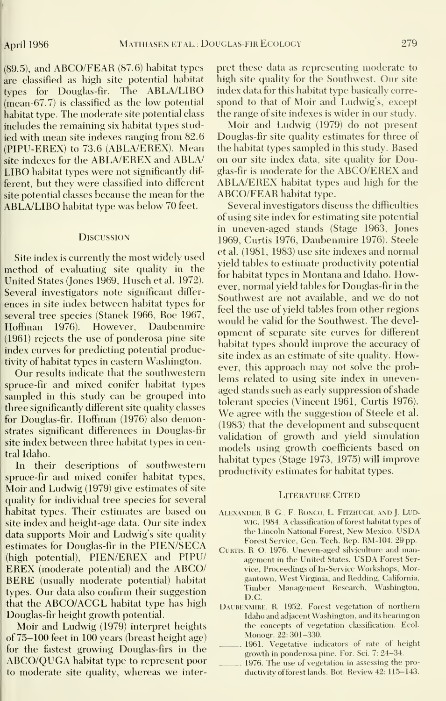(89.5), and ABCO/FEAR (87.6) habitat types are classified as high site potential habitat types for Douglas-fir. The ABLA/LIBO  $(mean-67.7)$  is classified as the low potential habitat type. The moderate site potential class includes the remaining six habitat types studied with mean site indexes ranging from 82.6 (PIPU-EREX) to 73.6 (ABLA/EREX). Mean site indexes for the ABLA/EREX and ABLA/ LIBO habitat types were not significantly different, but they were classified into different site potential classes because the mean for the ABLA/LIBO habitat type was below 70 feet.

#### **Discussion**

Site index is currently the most widely used method of evaluating site quality in the United States (Jones 1969, Husch et al. 1972). Several investigators note significant differ ences in site index between habitat types for several tree species (Stanek 1966, Roe 1967, Hoffman 1976). However, Daubenmire (1961) rejects the use of ponderosa pine site index curves for predicting potential productivity of habitat types in eastern Washington.

Our results indicate that the southwestern spruce-fir and mixed conifer habitat types sampled in this study can be grouped into three significantly different site quality classes for Douglas-fir. Hoff^man (1976) also demonstrates significant differences in Douglas-fir site index between three habitat types in central Idaho.

In their descriptions of southwestern spruce-fir and mixed conifer habitat types, Moir and Ludwig (1979) give estimates of site quality for individual tree species for several habitat types. Their estimates are based on site index and height-age data. Our site index data supports Moir and Ludwig's site quality estimates for Douglas-fir in the PIEN/SECA (high potential), PIEN/EREX and PIPU/ EREX (moderate potential) and the ABCO/ BERE (usually moderate potential) habitat types. Our data also confirm their suggestion that the ABCO/ACGL habitat type has high Douglas-fir height growth potential.

Moir and Ludwig (1979) interpret heights of 75-100 feet in 100 years (breast height age) for the fastest growing Douglas-firs in the ABCO/QUGA habitat type to represent poor to moderate site quality, whereas we interpret these data as representing moderate to high site quality for the Southwest. Our site index data for this habitat type basically corre spond to that of Moir and Ludwig's, except the range of site indexes is wider in our study.

Moir and Ludwig (1979) do not present Douglas-fir site quality estimates for three of the habitat types sampled in this study. Based on our site index data, site quality for Douglas-fir is moderate for the ABCO/EREX and ABLA/EREX habitat types and high for the ABCO/FEAR habitat type.

Several investigators discuss the difficulties of using site index for estimating site potential in uneven-aged stands (Stage 1963, Jones 1969, Curtis 1976, Daubenmire 1976). Steele et al. (1981, 1983) use site indexes and normal yield tables to estimate productivity potential for habitat types in Montana and Idaho. However, normal yield tables for Douglas-fir in the Southwest are not available, and we do not feel the use of yield tables from other regions would be valid for the Southwest. The devel opment of separate site curves for different habitat types should improve the accuracy of site index as an estimate of site quality. However, this approach may not solve the prob lems related to using site index in unevenaged stands such as early suppression of shade tolerant species (Vincent 1961, Curtis 1976). We agree with the suggestion of Steele et al. (1983) that the development and subsequent validation of growth and yield simulation models using growth coefficients based on habitat types (Stage 1973, 1975) will improve productivity estimates for habitat types.

#### Literature Cited

- ALEXANDER, B. G., F. RONCO, L. FITZHUGH, AND J. LUDwig. 1984. A classification of forest habitat types of the Lincoln National Forest, New Mexico. USDA Forest Service, Gen. Tech. Rep. RM-104. 29 pp.
- CURTIS, R. O. 1976. Uneven-aged silviculture and management in the United States. USDA Forest Service, Proceedings of In-Service Workshops, Morgantown. West Virginia, and Redding, California, Timber Management Research, Washington, D<sub>C</sub>
- DAUBENMIRE, R. 1952. Forest vegetation of northern Idaho and adjacent Washington, and itsbearing on the concepts of vegetation classification. Ecol. Monogr. 22: 301-330.
- 1961. Vegetative indicators of rate of height growth in ponderosa pine. For. Sci. 7: 24-34.
- 1976. The use of vegetation in assessing the productivity of forest lands. Bot. Review 42: 115-143.